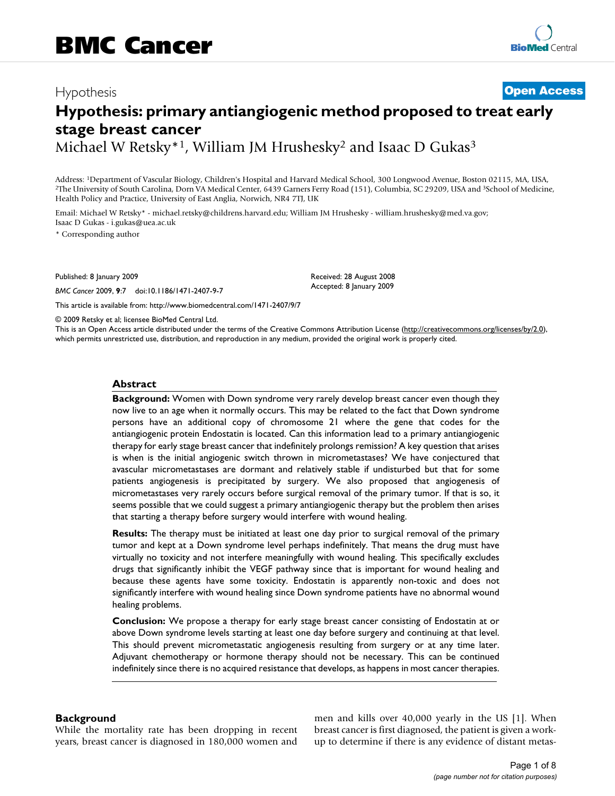## Hypothesis **[Open Access](http://www.biomedcentral.com/info/about/charter/)**

# **Hypothesis: primary antiangiogenic method proposed to treat early stage breast cancer**

Michael W Retsky\*1, William JM Hrushesky2 and Isaac D Gukas3

Address: <sup>1</sup>Department of Vascular Biology, Children's Hospital and Harvard Medical School, 300 Longwood Avenue, Boston 02115, MA, USA, <sup>2</sup>The University of South Carolina, Dorn VA Medical Center, 6439 Garners Ferry Road ( Health Policy and Practice, University of East Anglia, Norwich, NR4 7TJ, UK

Email: Michael W Retsky\* - michael.retsky@childrens.harvard.edu; William JM Hrushesky - william.hrushesky@med.va.gov; Isaac D Gukas - i.gukas@uea.ac.uk

\* Corresponding author

Published: 8 January 2009

*BMC Cancer* 2009, **9**:7 doi:10.1186/1471-2407-9-7

[This article is available from: http://www.biomedcentral.com/1471-2407/9/7](http://www.biomedcentral.com/1471-2407/9/7)

© 2009 Retsky et al; licensee BioMed Central Ltd.

This is an Open Access article distributed under the terms of the Creative Commons Attribution License [\(http://creativecommons.org/licenses/by/2.0\)](http://creativecommons.org/licenses/by/2.0), which permits unrestricted use, distribution, and reproduction in any medium, provided the original work is properly cited.

Received: 28 August 2008 Accepted: 8 January 2009

### **Abstract**

**Background:** Women with Down syndrome very rarely develop breast cancer even though they now live to an age when it normally occurs. This may be related to the fact that Down syndrome persons have an additional copy of chromosome 21 where the gene that codes for the antiangiogenic protein Endostatin is located. Can this information lead to a primary antiangiogenic therapy for early stage breast cancer that indefinitely prolongs remission? A key question that arises is when is the initial angiogenic switch thrown in micrometastases? We have conjectured that avascular micrometastases are dormant and relatively stable if undisturbed but that for some patients angiogenesis is precipitated by surgery. We also proposed that angiogenesis of micrometastases very rarely occurs before surgical removal of the primary tumor. If that is so, it seems possible that we could suggest a primary antiangiogenic therapy but the problem then arises that starting a therapy before surgery would interfere with wound healing.

**Results:** The therapy must be initiated at least one day prior to surgical removal of the primary tumor and kept at a Down syndrome level perhaps indefinitely. That means the drug must have virtually no toxicity and not interfere meaningfully with wound healing. This specifically excludes drugs that significantly inhibit the VEGF pathway since that is important for wound healing and because these agents have some toxicity. Endostatin is apparently non-toxic and does not significantly interfere with wound healing since Down syndrome patients have no abnormal wound healing problems.

**Conclusion:** We propose a therapy for early stage breast cancer consisting of Endostatin at or above Down syndrome levels starting at least one day before surgery and continuing at that level. This should prevent micrometastatic angiogenesis resulting from surgery or at any time later. Adjuvant chemotherapy or hormone therapy should not be necessary. This can be continued indefinitely since there is no acquired resistance that develops, as happens in most cancer therapies.

### **Background**

While the mortality rate has been dropping in recent years, breast cancer is diagnosed in 180,000 women and men and kills over 40,000 yearly in the US [\[1\]](#page-6-0). When breast cancer is first diagnosed, the patient is given a workup to determine if there is any evidence of distant metas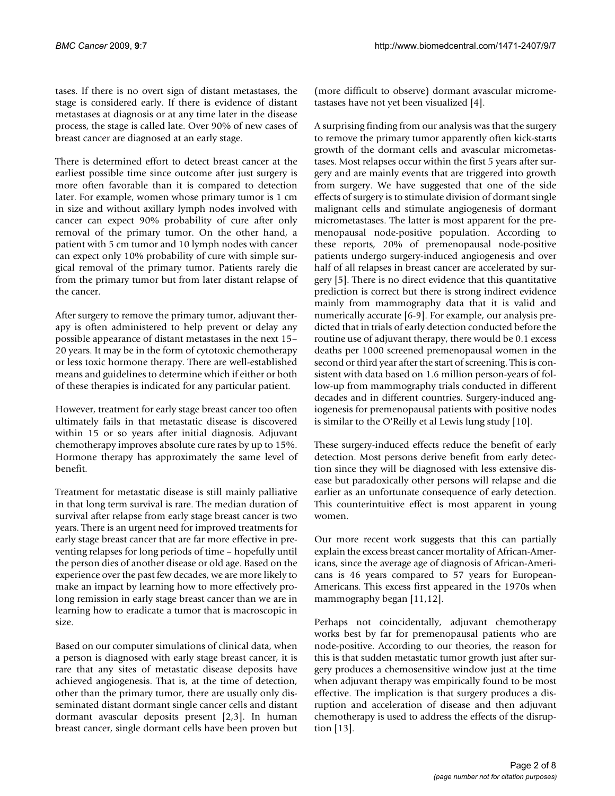tases. If there is no overt sign of distant metastases, the stage is considered early. If there is evidence of distant metastases at diagnosis or at any time later in the disease process, the stage is called late. Over 90% of new cases of breast cancer are diagnosed at an early stage.

There is determined effort to detect breast cancer at the earliest possible time since outcome after just surgery is more often favorable than it is compared to detection later. For example, women whose primary tumor is 1 cm in size and without axillary lymph nodes involved with cancer can expect 90% probability of cure after only removal of the primary tumor. On the other hand, a patient with 5 cm tumor and 10 lymph nodes with cancer can expect only 10% probability of cure with simple surgical removal of the primary tumor. Patients rarely die from the primary tumor but from later distant relapse of the cancer.

After surgery to remove the primary tumor, adjuvant therapy is often administered to help prevent or delay any possible appearance of distant metastases in the next 15– 20 years. It may be in the form of cytotoxic chemotherapy or less toxic hormone therapy. There are well-established means and guidelines to determine which if either or both of these therapies is indicated for any particular patient.

However, treatment for early stage breast cancer too often ultimately fails in that metastatic disease is discovered within 15 or so years after initial diagnosis. Adjuvant chemotherapy improves absolute cure rates by up to 15%. Hormone therapy has approximately the same level of benefit.

Treatment for metastatic disease is still mainly palliative in that long term survival is rare. The median duration of survival after relapse from early stage breast cancer is two years. There is an urgent need for improved treatments for early stage breast cancer that are far more effective in preventing relapses for long periods of time – hopefully until the person dies of another disease or old age. Based on the experience over the past few decades, we are more likely to make an impact by learning how to more effectively prolong remission in early stage breast cancer than we are in learning how to eradicate a tumor that is macroscopic in size.

Based on our computer simulations of clinical data, when a person is diagnosed with early stage breast cancer, it is rare that any sites of metastatic disease deposits have achieved angiogenesis. That is, at the time of detection, other than the primary tumor, there are usually only disseminated distant dormant single cancer cells and distant dormant avascular deposits present [[2](#page-6-1),[3](#page-6-2)]. In human breast cancer, single dormant cells have been proven but (more difficult to observe) dormant avascular micrometastases have not yet been visualized [[4](#page-6-3)].

A surprising finding from our analysis was that the surgery to remove the primary tumor apparently often kick-starts growth of the dormant cells and avascular micrometastases. Most relapses occur within the first 5 years after surgery and are mainly events that are triggered into growth from surgery. We have suggested that one of the side effects of surgery is to stimulate division of dormant single malignant cells and stimulate angiogenesis of dormant micrometastases. The latter is most apparent for the premenopausal node-positive population. According to these reports, 20% of premenopausal node-positive patients undergo surgery-induced angiogenesis and over half of all relapses in breast cancer are accelerated by surgery [[5\]](#page-6-4). There is no direct evidence that this quantitative prediction is correct but there is strong indirect evidence mainly from mammography data that it is valid and numerically accurate [[6](#page-6-5)[-9\]](#page-6-6). For example, our analysis predicted that in trials of early detection conducted before the routine use of adjuvant therapy, there would be 0.1 excess deaths per 1000 screened premenopausal women in the second or third year after the start of screening. This is consistent with data based on 1.6 million person-years of follow-up from mammography trials conducted in different decades and in different countries. Surgery-induced angiogenesis for premenopausal patients with positive nodes is similar to the O'Reilly et al Lewis lung study [[10\]](#page-6-7).

These surgery-induced effects reduce the benefit of early detection. Most persons derive benefit from early detection since they will be diagnosed with less extensive disease but paradoxically other persons will relapse and die earlier as an unfortunate consequence of early detection. This counterintuitive effect is most apparent in young women.

Our more recent work suggests that this can partially explain the excess breast cancer mortality of African-Americans, since the average age of diagnosis of African-Americans is 46 years compared to 57 years for European-Americans. This excess first appeared in the 1970s when mammography began [[11,](#page-6-8)[12](#page-6-9)].

Perhaps not coincidentally, adjuvant chemotherapy works best by far for premenopausal patients who are node-positive. According to our theories, the reason for this is that sudden metastatic tumor growth just after surgery produces a chemosensitive window just at the time when adjuvant therapy was empirically found to be most effective. The implication is that surgery produces a disruption and acceleration of disease and then adjuvant chemotherapy is used to address the effects of the disruption [\[13](#page-6-10)].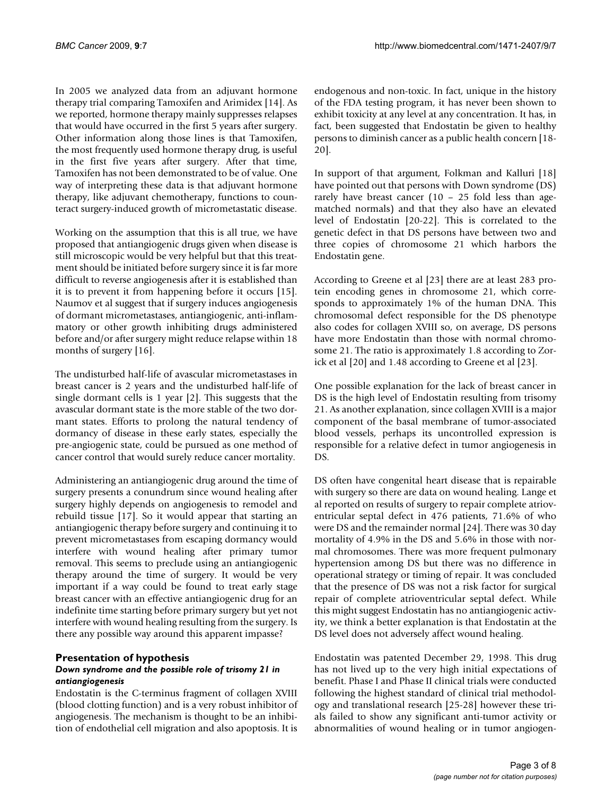In 2005 we analyzed data from an adjuvant hormone therapy trial comparing Tamoxifen and Arimidex [[14\]](#page-6-11). As we reported, hormone therapy mainly suppresses relapses that would have occurred in the first 5 years after surgery. Other information along those lines is that Tamoxifen, the most frequently used hormone therapy drug, is useful in the first five years after surgery. After that time, Tamoxifen has not been demonstrated to be of value. One way of interpreting these data is that adjuvant hormone therapy, like adjuvant chemotherapy, functions to counteract surgery-induced growth of micrometastatic disease.

Working on the assumption that this is all true, we have proposed that antiangiogenic drugs given when disease is still microscopic would be very helpful but that this treatment should be initiated before surgery since it is far more difficult to reverse angiogenesis after it is established than it is to prevent it from happening before it occurs [\[15](#page-6-12)]. Naumov et al suggest that if surgery induces angiogenesis of dormant micrometastases, antiangiogenic, anti-inflammatory or other growth inhibiting drugs administered before and/or after surgery might reduce relapse within 18 months of surgery [[16](#page-6-13)].

The undisturbed half-life of avascular micrometastases in breast cancer is 2 years and the undisturbed half-life of single dormant cells is 1 year [[2](#page-6-1)]. This suggests that the avascular dormant state is the more stable of the two dormant states. Efforts to prolong the natural tendency of dormancy of disease in these early states, especially the pre-angiogenic state, could be pursued as one method of cancer control that would surely reduce cancer mortality.

Administering an antiangiogenic drug around the time of surgery presents a conundrum since wound healing after surgery highly depends on angiogenesis to remodel and rebuild tissue [[17\]](#page-6-14). So it would appear that starting an antiangiogenic therapy before surgery and continuing it to prevent micrometastases from escaping dormancy would interfere with wound healing after primary tumor removal. This seems to preclude using an antiangiogenic therapy around the time of surgery. It would be very important if a way could be found to treat early stage breast cancer with an effective antiangiogenic drug for an indefinite time starting before primary surgery but yet not interfere with wound healing resulting from the surgery. Is there any possible way around this apparent impasse?

## **Presentation of hypothesis**

## *Down syndrome and the possible role of trisomy 21 in antiangiogenesis*

Endostatin is the C-terminus fragment of collagen XVIII (blood clotting function) and is a very robust inhibitor of angiogenesis. The mechanism is thought to be an inhibition of endothelial cell migration and also apoptosis. It is endogenous and non-toxic. In fact, unique in the history of the FDA testing program, it has never been shown to exhibit toxicity at any level at any concentration. It has, in fact, been suggested that Endostatin be given to healthy persons to diminish cancer as a public health concern [\[18-](#page-6-15) [20\]](#page-6-16).

In support of that argument, Folkman and Kalluri [[18\]](#page-6-15) have pointed out that persons with Down syndrome (DS) rarely have breast cancer (10 – 25 fold less than agematched normals) and that they also have an elevated level of Endostatin [\[20-](#page-6-16)[22\]](#page-6-17). This is correlated to the genetic defect in that DS persons have between two and three copies of chromosome 21 which harbors the Endostatin gene.

According to Greene et al [\[23](#page-6-18)] there are at least 283 protein encoding genes in chromosome 21, which corresponds to approximately 1% of the human DNA. This chromosomal defect responsible for the DS phenotype also codes for collagen XVIII so, on average, DS persons have more Endostatin than those with normal chromosome 21. The ratio is approximately 1.8 according to Zorick et al [\[20](#page-6-16)] and 1.48 according to Greene et al [[23](#page-6-18)].

One possible explanation for the lack of breast cancer in DS is the high level of Endostatin resulting from trisomy 21. As another explanation, since collagen XVIII is a major component of the basal membrane of tumor-associated blood vessels, perhaps its uncontrolled expression is responsible for a relative defect in tumor angiogenesis in DS.

DS often have congenital heart disease that is repairable with surgery so there are data on wound healing. Lange et al reported on results of surgery to repair complete atrioventricular septal defect in 476 patients, 71.6% of who were DS and the remainder normal [\[24](#page-6-19)]. There was 30 day mortality of 4.9% in the DS and 5.6% in those with normal chromosomes. There was more frequent pulmonary hypertension among DS but there was no difference in operational strategy or timing of repair. It was concluded that the presence of DS was not a risk factor for surgical repair of complete atrioventricular septal defect. While this might suggest Endostatin has no antiangiogenic activity, we think a better explanation is that Endostatin at the DS level does not adversely affect wound healing.

Endostatin was patented December 29, 1998. This drug has not lived up to the very high initial expectations of benefit. Phase I and Phase II clinical trials were conducted following the highest standard of clinical trial methodology and translational research [[25-](#page-6-20)[28\]](#page-7-0) however these trials failed to show any significant anti-tumor activity or abnormalities of wound healing or in tumor angiogen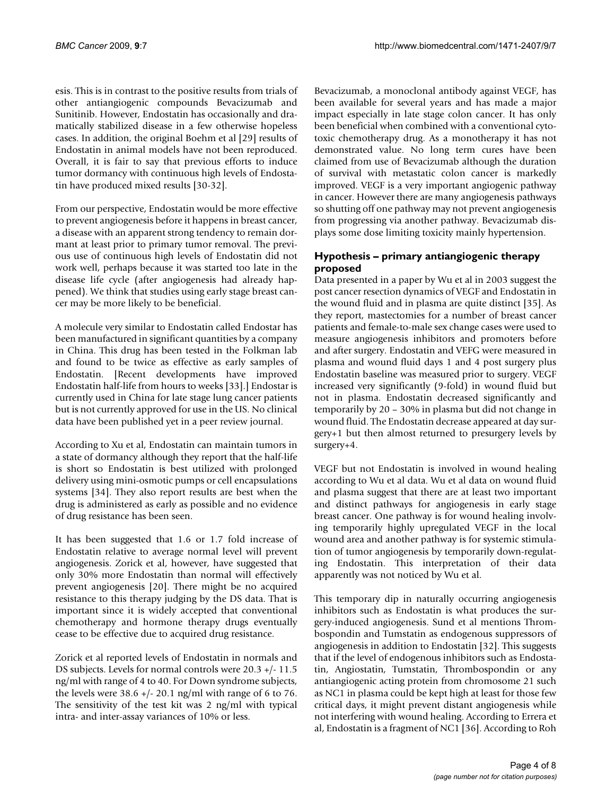esis. This is in contrast to the positive results from trials of other antiangiogenic compounds Bevacizumab and Sunitinib. However, Endostatin has occasionally and dramatically stabilized disease in a few otherwise hopeless cases. In addition, the original Boehm et al [\[29\]](#page-7-1) results of Endostatin in animal models have not been reproduced. Overall, it is fair to say that previous efforts to induce tumor dormancy with continuous high levels of Endostatin have produced mixed results [[30-](#page-7-2)[32](#page-7-3)].

From our perspective, Endostatin would be more effective to prevent angiogenesis before it happens in breast cancer, a disease with an apparent strong tendency to remain dormant at least prior to primary tumor removal. The previous use of continuous high levels of Endostatin did not work well, perhaps because it was started too late in the disease life cycle (after angiogenesis had already happened). We think that studies using early stage breast cancer may be more likely to be beneficial.

A molecule very similar to Endostatin called Endostar has been manufactured in significant quantities by a company in China. This drug has been tested in the Folkman lab and found to be twice as effective as early samples of Endostatin. [Recent developments have improved Endostatin half-life from hours to weeks [[33\]](#page-7-4).] Endostar is currently used in China for late stage lung cancer patients but is not currently approved for use in the US. No clinical data have been published yet in a peer review journal.

According to Xu et al, Endostatin can maintain tumors in a state of dormancy although they report that the half-life is short so Endostatin is best utilized with prolonged delivery using mini-osmotic pumps or cell encapsulations systems [\[34](#page-7-5)]. They also report results are best when the drug is administered as early as possible and no evidence of drug resistance has been seen.

It has been suggested that 1.6 or 1.7 fold increase of Endostatin relative to average normal level will prevent angiogenesis. Zorick et al, however, have suggested that only 30% more Endostatin than normal will effectively prevent angiogenesis [\[20\]](#page-6-16). There might be no acquired resistance to this therapy judging by the DS data. That is important since it is widely accepted that conventional chemotherapy and hormone therapy drugs eventually cease to be effective due to acquired drug resistance.

Zorick et al reported levels of Endostatin in normals and DS subjects. Levels for normal controls were 20.3 +/- 11.5 ng/ml with range of 4 to 40. For Down syndrome subjects, the levels were  $38.6 + (-20.1 \text{ ng/ml with range of } 6 \text{ to } 76$ . The sensitivity of the test kit was 2 ng/ml with typical intra- and inter-assay variances of 10% or less.

Bevacizumab, a monoclonal antibody against VEGF, has been available for several years and has made a major impact especially in late stage colon cancer. It has only been beneficial when combined with a conventional cytotoxic chemotherapy drug. As a monotherapy it has not demonstrated value. No long term cures have been claimed from use of Bevacizumab although the duration of survival with metastatic colon cancer is markedly improved. VEGF is a very important angiogenic pathway in cancer. However there are many angiogenesis pathways so shutting off one pathway may not prevent angiogenesis from progressing via another pathway. Bevacizumab displays some dose limiting toxicity mainly hypertension.

## **Hypothesis – primary antiangiogenic therapy proposed**

Data presented in a paper by Wu et al in 2003 suggest the post cancer resection dynamics of VEGF and Endostatin in the wound fluid and in plasma are quite distinct [[35](#page-7-6)]. As they report, mastectomies for a number of breast cancer patients and female-to-male sex change cases were used to measure angiogenesis inhibitors and promoters before and after surgery. Endostatin and VEFG were measured in plasma and wound fluid days 1 and 4 post surgery plus Endostatin baseline was measured prior to surgery. VEGF increased very significantly (9-fold) in wound fluid but not in plasma. Endostatin decreased significantly and temporarily by 20 – 30% in plasma but did not change in wound fluid. The Endostatin decrease appeared at day surgery+1 but then almost returned to presurgery levels by surgery+4.

VEGF but not Endostatin is involved in wound healing according to Wu et al data. Wu et al data on wound fluid and plasma suggest that there are at least two important and distinct pathways for angiogenesis in early stage breast cancer. One pathway is for wound healing involving temporarily highly upregulated VEGF in the local wound area and another pathway is for systemic stimulation of tumor angiogenesis by temporarily down-regulating Endostatin. This interpretation of their data apparently was not noticed by Wu et al.

This temporary dip in naturally occurring angiogenesis inhibitors such as Endostatin is what produces the surgery-induced angiogenesis. Sund et al mentions Thrombospondin and Tumstatin as endogenous suppressors of angiogenesis in addition to Endostatin [[32\]](#page-7-3). This suggests that if the level of endogenous inhibitors such as Endostatin, Angiostatin, Tumstatin, Thrombospondin or any antiangiogenic acting protein from chromosome 21 such as NC1 in plasma could be kept high at least for those few critical days, it might prevent distant angiogenesis while not interfering with wound healing. According to Errera et al, Endostatin is a fragment of NC1 [\[36\]](#page-7-7). According to Roh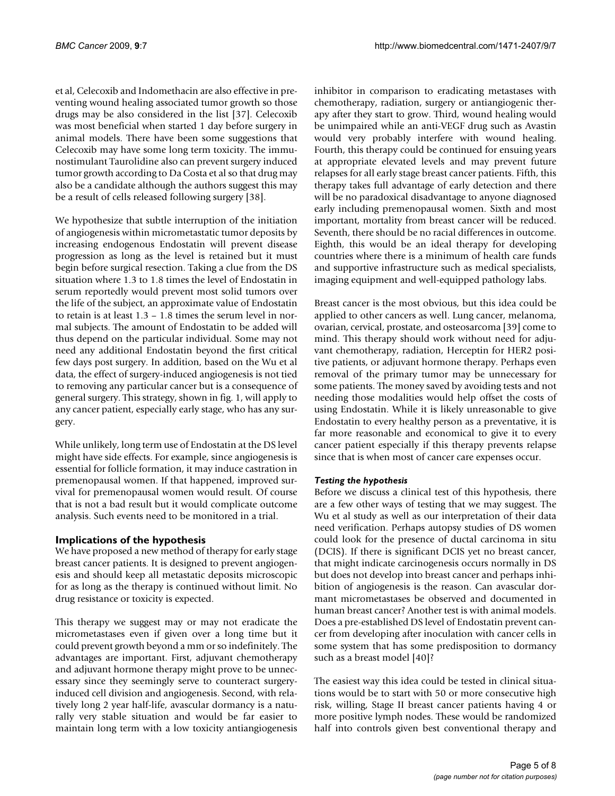et al, Celecoxib and Indomethacin are also effective in preventing wound healing associated tumor growth so those drugs may be also considered in the list [[37](#page-7-8)]. Celecoxib was most beneficial when started 1 day before surgery in animal models. There have been some suggestions that Celecoxib may have some long term toxicity. The immunostimulant Taurolidine also can prevent surgery induced tumor growth according to Da Costa et al so that drug may also be a candidate although the authors suggest this may be a result of cells released following surgery [\[38](#page-7-9)].

We hypothesize that subtle interruption of the initiation of angiogenesis within micrometastatic tumor deposits by increasing endogenous Endostatin will prevent disease progression as long as the level is retained but it must begin before surgical resection. Taking a clue from the DS situation where 1.3 to 1.8 times the level of Endostatin in serum reportedly would prevent most solid tumors over the life of the subject, an approximate value of Endostatin to retain is at least 1.3 – 1.8 times the serum level in normal subjects. The amount of Endostatin to be added will thus depend on the particular individual. Some may not need any additional Endostatin beyond the first critical few days post surgery. In addition, based on the Wu et al data, the effect of surgery-induced angiogenesis is not tied to removing any particular cancer but is a consequence of general surgery. This strategy, shown in fig. [1,](#page-5-0) will apply to any cancer patient, especially early stage, who has any surgery.

While unlikely, long term use of Endostatin at the DS level might have side effects. For example, since angiogenesis is essential for follicle formation, it may induce castration in premenopausal women. If that happened, improved survival for premenopausal women would result. Of course that is not a bad result but it would complicate outcome analysis. Such events need to be monitored in a trial.

## **Implications of the hypothesis**

We have proposed a new method of therapy for early stage breast cancer patients. It is designed to prevent angiogenesis and should keep all metastatic deposits microscopic for as long as the therapy is continued without limit. No drug resistance or toxicity is expected.

This therapy we suggest may or may not eradicate the micrometastases even if given over a long time but it could prevent growth beyond a mm or so indefinitely. The advantages are important. First, adjuvant chemotherapy and adjuvant hormone therapy might prove to be unnecessary since they seemingly serve to counteract surgeryinduced cell division and angiogenesis. Second, with relatively long 2 year half-life, avascular dormancy is a naturally very stable situation and would be far easier to maintain long term with a low toxicity antiangiogenesis inhibitor in comparison to eradicating metastases with chemotherapy, radiation, surgery or antiangiogenic therapy after they start to grow. Third, wound healing would be unimpaired while an anti-VEGF drug such as Avastin would very probably interfere with wound healing. Fourth, this therapy could be continued for ensuing years at appropriate elevated levels and may prevent future relapses for all early stage breast cancer patients. Fifth, this therapy takes full advantage of early detection and there will be no paradoxical disadvantage to anyone diagnosed early including premenopausal women. Sixth and most important, mortality from breast cancer will be reduced. Seventh, there should be no racial differences in outcome. Eighth, this would be an ideal therapy for developing countries where there is a minimum of health care funds and supportive infrastructure such as medical specialists, imaging equipment and well-equipped pathology labs.

Breast cancer is the most obvious, but this idea could be applied to other cancers as well. Lung cancer, melanoma, ovarian, cervical, prostate, and osteosarcoma [\[39](#page-7-10)] come to mind. This therapy should work without need for adjuvant chemotherapy, radiation, Herceptin for HER2 positive patients, or adjuvant hormone therapy. Perhaps even removal of the primary tumor may be unnecessary for some patients. The money saved by avoiding tests and not needing those modalities would help offset the costs of using Endostatin. While it is likely unreasonable to give Endostatin to every healthy person as a preventative, it is far more reasonable and economical to give it to every cancer patient especially if this therapy prevents relapse since that is when most of cancer care expenses occur.

## *Testing the hypothesis*

Before we discuss a clinical test of this hypothesis, there are a few other ways of testing that we may suggest. The Wu et al study as well as our interpretation of their data need verification. Perhaps autopsy studies of DS women could look for the presence of ductal carcinoma in situ (DCIS). If there is significant DCIS yet no breast cancer, that might indicate carcinogenesis occurs normally in DS but does not develop into breast cancer and perhaps inhibition of angiogenesis is the reason. Can avascular dormant micrometastases be observed and documented in human breast cancer? Another test is with animal models. Does a pre-established DS level of Endostatin prevent cancer from developing after inoculation with cancer cells in some system that has some predisposition to dormancy such as a breast model [[40\]](#page-7-11)?

The easiest way this idea could be tested in clinical situations would be to start with 50 or more consecutive high risk, willing, Stage II breast cancer patients having 4 or more positive lymph nodes. These would be randomized half into controls given best conventional therapy and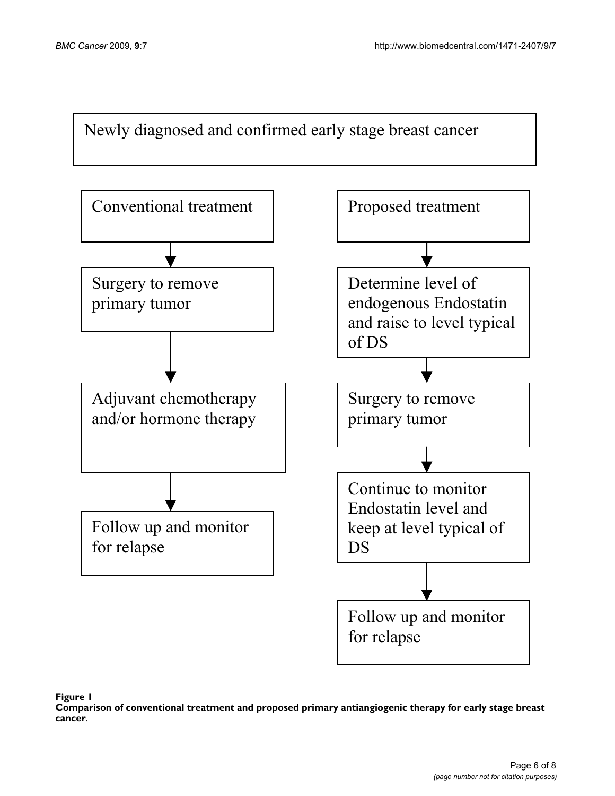<span id="page-5-0"></span>



#### Comparison of conventional treatment **Figure 1** and proposed primary antiangiogenic therapy for early stage breast cancer **Comparison of conventional treatment and proposed primary antiangiogenic therapy for early stage breast cancer**.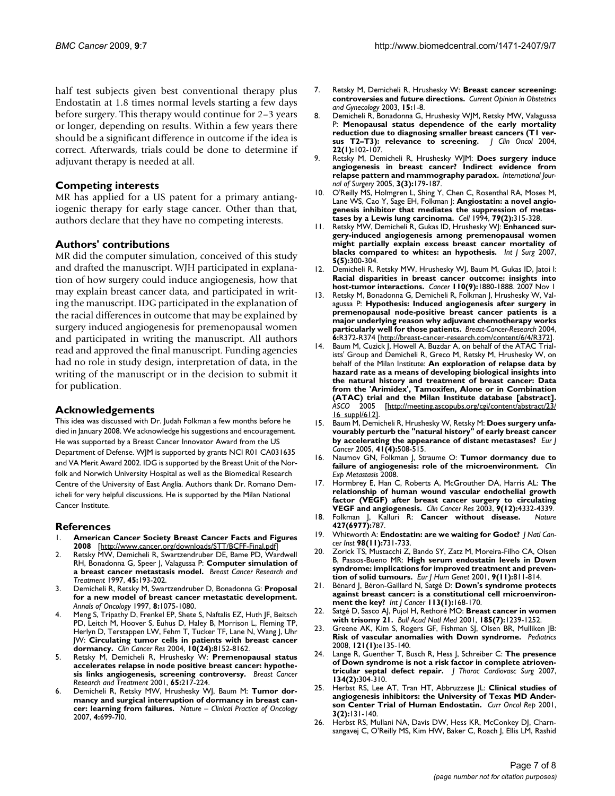half test subjects given best conventional therapy plus Endostatin at 1.8 times normal levels starting a few days before surgery. This therapy would continue for 2–3 years or longer, depending on results. Within a few years there should be a significant difference in outcome if the idea is correct. Afterwards, trials could be done to determine if adjuvant therapy is needed at all.

## **Competing interests**

MR has applied for a US patent for a primary antiangiogenic therapy for early stage cancer. Other than that, authors declare that they have no competing interests.

## **Authors' contributions**

MR did the computer simulation, conceived of this study and drafted the manuscript. WJH participated in explanation of how surgery could induce angiogenesis, how that may explain breast cancer data, and participated in writing the manuscript. IDG participated in the explanation of the racial differences in outcome that may be explained by surgery induced angiogenesis for premenopausal women and participated in writing the manuscript. All authors read and approved the final manuscript. Funding agencies had no role in study design, interpretation of data, in the writing of the manuscript or in the decision to submit it for publication.

### **Acknowledgements**

This idea was discussed with Dr. Judah Folkman a few months before he died in January 2008. We acknowledge his suggestions and encouragement. He was supported by a Breast Cancer Innovator Award from the US Department of Defense. WJM is supported by grants NCI R01 CA031635 and VA Merit Award 2002. IDG is supported by the Breast Unit of the Norfolk and Norwich University Hospital as well as the Biomedical Research Centre of the University of East Anglia. Authors thank Dr. Romano Demicheli for very helpful discussions. He is supported by the Milan National Cancer Institute.

## **References**

- <span id="page-6-0"></span>1. **American Cancer Society Breast Cancer Facts and Figures 2008** [\[http://www.cancer.org/downloads/STT/BCFF-Final.pdf\]](http://www.cancer.org/downloads/STT/BCFF-Final.pdf)
- <span id="page-6-1"></span>2. Retsky MW, Demicheli R, Swartzendruber DE, Bame PD, Wardwell RH, Bonadonna G, Speer J, Valagussa P: **Computer simulation of a breast cancer metastasis model.** *Breast Cancer Research and Treatment* 1997, **45:**193-202.
- <span id="page-6-2"></span>3. Demicheli R, Retsky M, Swartzendruber D, Bonadonna G: **[Proposal](http://www.ncbi.nlm.nih.gov/entrez/query.fcgi?cmd=Retrieve&db=PubMed&dopt=Abstract&list_uids=9426326) [for a new model of breast cancer metastatic development.](http://www.ncbi.nlm.nih.gov/entrez/query.fcgi?cmd=Retrieve&db=PubMed&dopt=Abstract&list_uids=9426326)** *Annals of Oncology* 1997, **8:**1075-1080.
- <span id="page-6-3"></span>Meng S, Tripathy D, Frenkel EP, Shete S, Naftalis EZ, Huth JF, Beitsch PD, Leitch M, Hoover S, Euhus D, Haley B, Morrison L, Fleming TP, Herlyn D, Terstappen LW, Fehm T, Tucker TF, Lane N, Wang J, Uhr JW: **[Circulating tumor cells in patients with breast cancer](http://www.ncbi.nlm.nih.gov/entrez/query.fcgi?cmd=Retrieve&db=PubMed&dopt=Abstract&list_uids=15623589) [dormancy.](http://www.ncbi.nlm.nih.gov/entrez/query.fcgi?cmd=Retrieve&db=PubMed&dopt=Abstract&list_uids=15623589)** *Clin Cancer Res* 2004, **10(24):**8152-8162.
- <span id="page-6-4"></span>5. Retsky M, Demicheli R, Hrushesky W: **Premenopausal status accelerates relapse in node positive breast cancer: hypothesis links angiogenesis, screening controversy.** *Breast Cancer Research and Treatment* 2001, **65:**217-224.
- <span id="page-6-5"></span>6. Demicheli R, Retsky MW, Hrushesky WJ, Baum M: **Tumor dormancy and surgical interruption of dormancy in breast cancer: learning from failures.** *Nature – Clinical Practice of Oncology* 2007, **4:**699-7l0.
- 7. Retsky M, Demicheli R, Hrushesky W: **Breast cancer screening: controversies and future directions.** *Current Opinion in Obstetrics and Gynecology* 2003, **15:**1-8.
- 8. Demicheli R, Bonadonna G, Hrushesky WJM, Retsky MW, Valagussa P: **[Menopausal status dependence of the early mortality](http://www.ncbi.nlm.nih.gov/entrez/query.fcgi?cmd=Retrieve&db=PubMed&dopt=Abstract&list_uids=14701771) [reduction due to diagnosing smaller breast cancers \(T1 ver](http://www.ncbi.nlm.nih.gov/entrez/query.fcgi?cmd=Retrieve&db=PubMed&dopt=Abstract&list_uids=14701771)[sus T2–T3\): relevance to screening.](http://www.ncbi.nlm.nih.gov/entrez/query.fcgi?cmd=Retrieve&db=PubMed&dopt=Abstract&list_uids=14701771)** *J Clin Oncol* 2004, **22(1):**102-107.
- <span id="page-6-6"></span>9. Retsky M, Demicheli R, Hrushesky WJM: **[Does surgery induce](http://www.ncbi.nlm.nih.gov/entrez/query.fcgi?cmd=Retrieve&db=PubMed&dopt=Abstract&list_uids=17462282) [angiogenesis in breast cancer? Indirect evidence from](http://www.ncbi.nlm.nih.gov/entrez/query.fcgi?cmd=Retrieve&db=PubMed&dopt=Abstract&list_uids=17462282) [relapse pattern and mammography paradox.](http://www.ncbi.nlm.nih.gov/entrez/query.fcgi?cmd=Retrieve&db=PubMed&dopt=Abstract&list_uids=17462282)** *International Journal of Surgery* 2005, **3(3):**179-187.
- <span id="page-6-7"></span>10. O'Reilly MS, Holmgren L, Shing Y, Chen C, Rosenthal RA, Moses M, Lane WS, Cao Y, Sage EH, Folkman J: **[Angiostatin: a novel angio](http://www.ncbi.nlm.nih.gov/entrez/query.fcgi?cmd=Retrieve&db=PubMed&dopt=Abstract&list_uids=7525077)[genesis inhibitor that mediates the suppression of metas](http://www.ncbi.nlm.nih.gov/entrez/query.fcgi?cmd=Retrieve&db=PubMed&dopt=Abstract&list_uids=7525077)[tases by a Lewis lung carcinoma.](http://www.ncbi.nlm.nih.gov/entrez/query.fcgi?cmd=Retrieve&db=PubMed&dopt=Abstract&list_uids=7525077)** *Cell* 1994, **79(2):**315-328.
- <span id="page-6-8"></span>11. Retsky MW, Demicheli R, Gukas ID, Hrushesky WJ: **[Enhanced sur](http://www.ncbi.nlm.nih.gov/entrez/query.fcgi?cmd=Retrieve&db=PubMed&dopt=Abstract&list_uids=17933694)[gery-induced angiogenesis among premenopausal women](http://www.ncbi.nlm.nih.gov/entrez/query.fcgi?cmd=Retrieve&db=PubMed&dopt=Abstract&list_uids=17933694) might partially explain excess breast cancer mortality of [blacks compared to whites: an hypothesis.](http://www.ncbi.nlm.nih.gov/entrez/query.fcgi?cmd=Retrieve&db=PubMed&dopt=Abstract&list_uids=17933694)** *Int J Surg* 2007, **5(5):**300-304.
- <span id="page-6-9"></span>12. Demicheli R, Retsky MW, Hrushesky WJ, Baum M, Gukas ID, Jatoi I: **Racial disparities in breast cancer outcome: insights into host-tumor interactions.** *Cancer* **110(9):**1880-1888. 2007 Nov 1
- <span id="page-6-10"></span>13. Retsky M, Bonadonna G, Demicheli R, Folkman J, Hrushesky W, Valagussa P: **[Hypothesis: Induced angiogenesis after surgery in](http://www.ncbi.nlm.nih.gov/entrez/query.fcgi?cmd=Retrieve&db=PubMed&dopt=Abstract&list_uids=15217504) [premenopausal node-positive breast cancer patients is a](http://www.ncbi.nlm.nih.gov/entrez/query.fcgi?cmd=Retrieve&db=PubMed&dopt=Abstract&list_uids=15217504) major underlying reason why adjuvant chemotherapy works [particularly well for those patients.](http://www.ncbi.nlm.nih.gov/entrez/query.fcgi?cmd=Retrieve&db=PubMed&dopt=Abstract&list_uids=15217504)** *Breast-Cancer-Research* 2004, **6:**R372-R374 [[http://breast-cancer-research.com/content/6/4/R372\]](http://breast-cancer-research.com/content/6/4/R372).
- <span id="page-6-11"></span>Baum M, Cuzick J, Howell A, Buzdar A, on behalf of the ATAC Trialists' Group and Demicheli R, Greco M, Retsky M, Hrushesky W, on behalf of the Milan Institute: **An exploration of relapse data by hazard rate as a means of developing biological insights into the natural history and treatment of breast cancer: Data from the 'Arimidex', Tamoxifen, Alone or in Combination (ATAC) trial and the Milan Institute database [abstract].** [[http://meeting.ascopubs.org/cgi/content/abstract/23/](http://meeting.ascopubs.org/cgi/content/abstract/23/16_suppl/612) [16\\_suppl/612](http://meeting.ascopubs.org/cgi/content/abstract/23/16_suppl/612)].
- <span id="page-6-12"></span>15. Baum M, Demicheli R, Hrushesky W, Retsky M: **[Does surgery unfa](http://www.ncbi.nlm.nih.gov/entrez/query.fcgi?cmd=Retrieve&db=PubMed&dopt=Abstract&list_uids=15737554)[vourably perturb the "natural history" of early breast cancer](http://www.ncbi.nlm.nih.gov/entrez/query.fcgi?cmd=Retrieve&db=PubMed&dopt=Abstract&list_uids=15737554) [by accelerating the appearance of distant metastases?](http://www.ncbi.nlm.nih.gov/entrez/query.fcgi?cmd=Retrieve&db=PubMed&dopt=Abstract&list_uids=15737554)** *Eur J Cancer* 2005, **41(4):**508-515.
- <span id="page-6-13"></span>16. Naumov GN, Folkman J, Straume O: **Tumor dormancy due to failure of angiogenesis: role of the microenvironment.** *Clin Exp Metastasis* 2008.
- <span id="page-6-14"></span>17. Hormbrey E, Han C, Roberts A, McGrouther DA, Harris AL: **[The](http://www.ncbi.nlm.nih.gov/entrez/query.fcgi?cmd=Retrieve&db=PubMed&dopt=Abstract&list_uids=14555503) [relationship of human wound vascular endothelial growth](http://www.ncbi.nlm.nih.gov/entrez/query.fcgi?cmd=Retrieve&db=PubMed&dopt=Abstract&list_uids=14555503) factor (VEGF) after breast cancer surgery to circulating [VEGF and angiogenesis.](http://www.ncbi.nlm.nih.gov/entrez/query.fcgi?cmd=Retrieve&db=PubMed&dopt=Abstract&list_uids=14555503)** *Clin Cancer Res* 2003, **9(12):**4332-4339.
- <span id="page-6-15"></span>18. Folkman J, Kalluri R: **Cancer without disease.** *Nature* **427(6977):**787.
- 19. Whitworth A: **Endostatin: are we waiting for Godot?** *J Natl Cancer Inst* **98(11):**731-733.
- <span id="page-6-16"></span>20. Zorick TS, Mustacchi Z, Bando SY, Zatz M, Moreira-Filho CA, Olsen B, Passos-Bueno MR: **[High serum endostatin levels in Down](http://www.ncbi.nlm.nih.gov/entrez/query.fcgi?cmd=Retrieve&db=PubMed&dopt=Abstract&list_uids=11781696) [syndrome: implications for improved treatment and preven](http://www.ncbi.nlm.nih.gov/entrez/query.fcgi?cmd=Retrieve&db=PubMed&dopt=Abstract&list_uids=11781696)[tion of solid tumours.](http://www.ncbi.nlm.nih.gov/entrez/query.fcgi?cmd=Retrieve&db=PubMed&dopt=Abstract&list_uids=11781696)** *Eur J Hum Genet* 2001, **9(11):**811-814.
- 21. Bénard J, Béron-Gaillard N, Satgé D: **Down's syndrome protects against breast cancer: is a constitutional cell microenvironment the key?** *Int J Cancer* **113(1):**168-170.
- <span id="page-6-17"></span>22. Satgé D, Sasco AJ, Pujol H, Rethoré MO: **[Breast cancer in women](http://www.ncbi.nlm.nih.gov/entrez/query.fcgi?cmd=Retrieve&db=PubMed&dopt=Abstract&list_uids=11975321) [with trisomy 21.](http://www.ncbi.nlm.nih.gov/entrez/query.fcgi?cmd=Retrieve&db=PubMed&dopt=Abstract&list_uids=11975321)** *Bull Acad Natl Med* 2001, **185(7):**1239-1252.
- <span id="page-6-18"></span>23. Greene AK, Kim S, Rogers GF, Fishman SJ, Olsen BR, Mulliken JB: **[Risk of vascular anomalies with Down syndrome.](http://www.ncbi.nlm.nih.gov/entrez/query.fcgi?cmd=Retrieve&db=PubMed&dopt=Abstract&list_uids=18166531)** *Pediatrics* 2008, **121(1):**e135-140.
- <span id="page-6-19"></span>24. Lange R, Guenther T, Busch R, Hess J, Schreiber C: **[The presence](http://www.ncbi.nlm.nih.gov/entrez/query.fcgi?cmd=Retrieve&db=PubMed&dopt=Abstract&list_uids=17662766) [of Down syndrome is not a risk factor in complete atrioven](http://www.ncbi.nlm.nih.gov/entrez/query.fcgi?cmd=Retrieve&db=PubMed&dopt=Abstract&list_uids=17662766)[tricular septal defect repair.](http://www.ncbi.nlm.nih.gov/entrez/query.fcgi?cmd=Retrieve&db=PubMed&dopt=Abstract&list_uids=17662766)** *J Thorac Cardiovasc Surg* 2007, **134(2):**304-310.
- <span id="page-6-20"></span>25. Herbst RS, Lee AT, Tran HT, Abbruzzese JL: **[Clinical studies of](http://www.ncbi.nlm.nih.gov/entrez/query.fcgi?cmd=Retrieve&db=PubMed&dopt=Abstract&list_uids=11177745) [angiogenesis inhibitors: the University of Texas MD Ander](http://www.ncbi.nlm.nih.gov/entrez/query.fcgi?cmd=Retrieve&db=PubMed&dopt=Abstract&list_uids=11177745)[son Center Trial of Human Endostatin.](http://www.ncbi.nlm.nih.gov/entrez/query.fcgi?cmd=Retrieve&db=PubMed&dopt=Abstract&list_uids=11177745)** *Curr Oncol Rep* 2001, **3(2):**131-140.
- 26. Herbst RS, Mullani NA, Davis DW, Hess KR, McConkey DJ, Charnsangavej C, O'Reilly MS, Kim HW, Baker C, Roach J, Ellis LM, Rashid